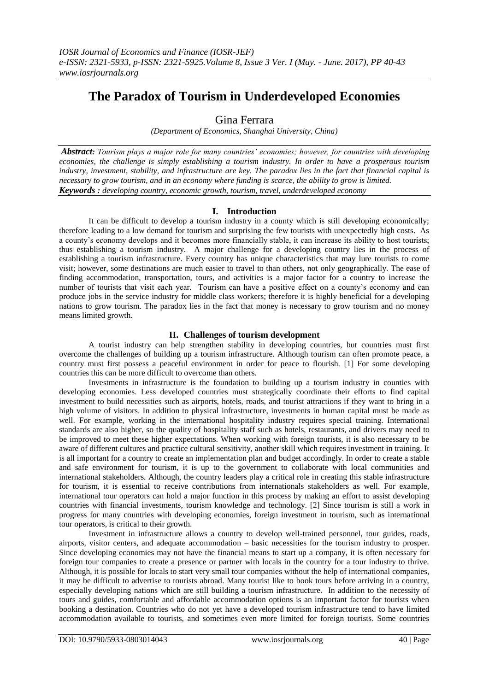# **The Paradox of Tourism in Underdeveloped Economies**

## Gina Ferrara

*(Department of Economics, Shanghai University, China)*

*Abstract: Tourism plays a major role for many countries' economies; however, for countries with developing economies, the challenge is simply establishing a tourism industry. In order to have a prosperous tourism industry, investment, stability, and infrastructure are key. The paradox lies in the fact that financial capital is necessary to grow tourism, and in an economy where funding is scarce, the ability to grow is limited. Keywords : developing country, economic growth, tourism, travel, underdeveloped economy*

### **I. Introduction**

It can be difficult to develop a tourism industry in a county which is still developing economically; therefore leading to a low demand for tourism and surprising the few tourists with unexpectedly high costs. As a county's economy develops and it becomes more financially stable, it can increase its ability to host tourists; thus establishing a tourism industry. A major challenge for a developing country lies in the process of establishing a tourism infrastructure. Every country has unique characteristics that may lure tourists to come visit; however, some destinations are much easier to travel to than others, not only geographically. The ease of finding accommodation, transportation, tours, and activities is a major factor for a country to increase the number of tourists that visit each year. Tourism can have a positive effect on a county's economy and can produce jobs in the service industry for middle class workers; therefore it is highly beneficial for a developing nations to grow tourism. The paradox lies in the fact that money is necessary to grow tourism and no money means limited growth.

#### **II. Challenges of tourism development**

A tourist industry can help strengthen stability in developing countries, but countries must first overcome the challenges of building up a tourism infrastructure. Although tourism can often promote peace, a country must first possess a peaceful environment in order for peace to flourish. [1] For some developing countries this can be more difficult to overcome than others.

Investments in infrastructure is the foundation to building up a tourism industry in counties with developing economies. Less developed countries must strategically coordinate their efforts to find capital investment to build necessities such as airports, hotels, roads, and tourist attractions if they want to bring in a high volume of visitors. In addition to physical infrastructure, investments in human capital must be made as well. For example, working in the international hospitality industry requires special training. International standards are also higher, so the quality of hospitality staff such as hotels, restaurants, and drivers may need to be improved to meet these higher expectations. When working with foreign tourists, it is also necessary to be aware of different cultures and practice cultural sensitivity, another skill which requires investment in training. It is all important for a country to create an implementation plan and budget accordingly. In order to create a stable and safe environment for tourism, it is up to the government to collaborate with local communities and international stakeholders. Although, the country leaders play a critical role in creating this stable infrastructure for tourism, it is essential to receive contributions from internationals stakeholders as well. For example, international tour operators can hold a major function in this process by making an effort to assist developing countries with financial investments, tourism knowledge and technology. [2] Since tourism is still a work in progress for many countries with developing economies, foreign investment in tourism, such as international tour operators, is critical to their growth.

Investment in infrastructure allows a country to develop well-trained personnel, tour guides, roads, airports, visitor centers, and adequate accommodation – basic necessities for the tourism industry to prosper. Since developing economies may not have the financial means to start up a company, it is often necessary for foreign tour companies to create a presence or partner with locals in the country for a tour industry to thrive. Although, it is possible for locals to start very small tour companies without the help of international companies, it may be difficult to advertise to tourists abroad. Many tourist like to book tours before arriving in a country, especially developing nations which are still building a tourism infrastructure. In addition to the necessity of tours and guides, comfortable and affordable accommodation options is an important factor for tourists when booking a destination. Countries who do not yet have a developed tourism infrastructure tend to have limited accommodation available to tourists, and sometimes even more limited for foreign tourists. Some countries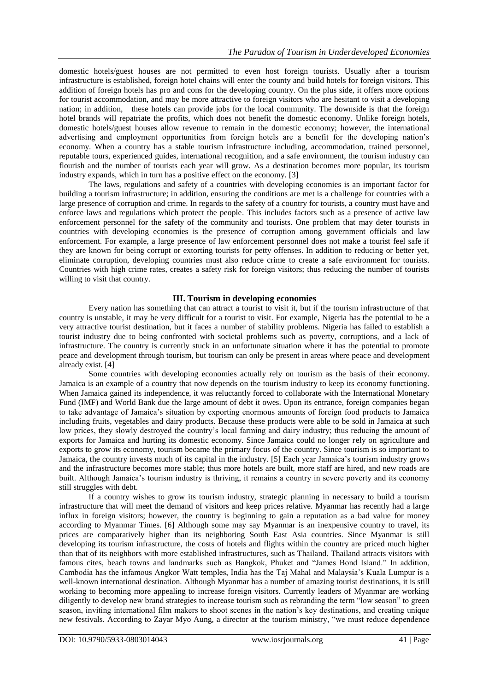domestic hotels/guest houses are not permitted to even host foreign tourists. Usually after a tourism infrastructure is established, foreign hotel chains will enter the county and build hotels for foreign visitors. This addition of foreign hotels has pro and cons for the developing country. On the plus side, it offers more options for tourist accommodation, and may be more attractive to foreign visitors who are hesitant to visit a developing nation; in addition, these hotels can provide jobs for the local community. The downside is that the foreign hotel brands will repatriate the profits, which does not benefit the domestic economy. Unlike foreign hotels, domestic hotels/guest houses allow revenue to remain in the domestic economy; however, the international advertising and employment opportunities from foreign hotels are a benefit for the developing nation's economy. When a country has a stable tourism infrastructure including, accommodation, trained personnel, reputable tours, experienced guides, international recognition, and a safe environment, the tourism industry can flourish and the number of tourists each year will grow. As a destination becomes more popular, its tourism industry expands, which in turn has a positive effect on the economy. [3]

The laws, regulations and safety of a countries with developing economies is an important factor for building a tourism infrastructure; in addition, ensuring the conditions are met is a challenge for countries with a large presence of corruption and crime. In regards to the safety of a country for tourists, a country must have and enforce laws and regulations which protect the people. This includes factors such as a presence of active law enforcement personnel for the safety of the community and tourists. One problem that may deter tourists in countries with developing economies is the presence of corruption among government officials and law enforcement. For example, a large presence of law enforcement personnel does not make a tourist feel safe if they are known for being corrupt or extorting tourists for petty offenses. In addition to reducing or better yet, eliminate corruption, developing countries must also reduce crime to create a safe environment for tourists. Countries with high crime rates, creates a safety risk for foreign visitors; thus reducing the number of tourists willing to visit that country.

#### **III. Tourism in developing economies**

Every nation has something that can attract a tourist to visit it, but if the tourism infrastructure of that country is unstable, it may be very difficult for a tourist to visit. For example, Nigeria has the potential to be a very attractive tourist destination, but it faces a number of stability problems. Nigeria has failed to establish a tourist industry due to being confronted with societal problems such as poverty, corruptions, and a lack of infrastructure. The country is currently stuck in an unfortunate situation where it has the potential to promote peace and development through tourism, but tourism can only be present in areas where peace and development already exist. [4]

Some countries with developing economies actually rely on tourism as the basis of their economy. Jamaica is an example of a country that now depends on the tourism industry to keep its economy functioning. When Jamaica gained its independence, it was reluctantly forced to collaborate with the International Monetary Fund (IMF) and World Bank due the large amount of debt it owes. Upon its entrance, foreign companies began to take advantage of Jamaica's situation by exporting enormous amounts of foreign food products to Jamaica including fruits, vegetables and dairy products. Because these products were able to be sold in Jamaica at such low prices, they slowly destroyed the country's local farming and dairy industry; thus reducing the amount of exports for Jamaica and hurting its domestic economy. Since Jamaica could no longer rely on agriculture and exports to grow its economy, tourism became the primary focus of the country. Since tourism is so important to Jamaica, the country invests much of its capital in the industry. [5] Each year Jamaica's tourism industry grows and the infrastructure becomes more stable; thus more hotels are built, more staff are hired, and new roads are built. Although Jamaica's tourism industry is thriving, it remains a country in severe poverty and its economy still struggles with debt.

If a country wishes to grow its tourism industry, strategic planning in necessary to build a tourism infrastructure that will meet the demand of visitors and keep prices relative. Myanmar has recently had a large influx in foreign visitors; however, the country is beginning to gain a reputation as a bad value for money according to Myanmar Times. [6] Although some may say Myanmar is an inexpensive country to travel, its prices are comparatively higher than its neighboring South East Asia countries. Since Myanmar is still developing its tourism infrastructure, the costs of hotels and flights within the country are priced much higher than that of its neighbors with more established infrastructures, such as Thailand. Thailand attracts visitors with famous cites, beach towns and landmarks such as Bangkok, Phuket and "James Bond Island." In addition, Cambodia has the infamous Angkor Watt temples, India has the Taj Mahal and Malaysia's Kuala Lumpur is a well-known international destination. Although Myanmar has a number of amazing tourist destinations, it is still working to becoming more appealing to increase foreign visitors. Currently leaders of Myanmar are working diligently to develop new brand strategies to increase tourism such as rebranding the term "low season" to green season, inviting international film makers to shoot scenes in the nation's key destinations, and creating unique new festivals. According to Zayar Myo Aung, a director at the tourism ministry, "we must reduce dependence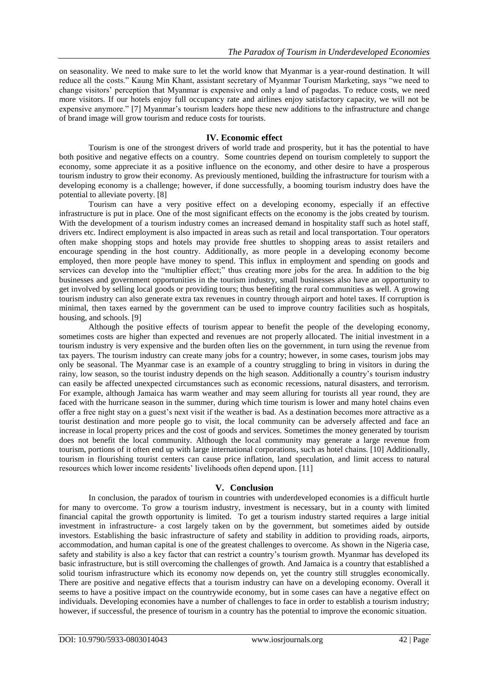on seasonality. We need to make sure to let the world know that Myanmar is a year-round destination. It will reduce all the costs." Kaung Min Khant, assistant secretary of Myanmar Tourism Marketing, says "we need to change visitors' perception that Myanmar is expensive and only a land of pagodas. To reduce costs, we need more visitors. If our hotels enjoy full occupancy rate and airlines enjoy satisfactory capacity, we will not be expensive anymore." [7] Myanmar's tourism leaders hope these new additions to the infrastructure and change of brand image will grow tourism and reduce costs for tourists.

#### **IV. Economic effect**

Tourism is one of the strongest drivers of world trade and prosperity, but it has the potential to have both positive and negative effects on a country. Some countries depend on tourism completely to support the economy, some appreciate it as a positive influence on the economy, and other desire to have a prosperous tourism industry to grow their economy. As previously mentioned, building the infrastructure for tourism with a developing economy is a challenge; however, if done successfully, a booming tourism industry does have the potential to alleviate poverty. [8]

Tourism can have a very positive effect on a developing economy, especially if an effective infrastructure is put in place. One of the most significant effects on the economy is the jobs created by tourism. With the development of a tourism industry comes an increased demand in hospitality staff such as hotel staff, drivers etc. Indirect employment is also impacted in areas such as retail and local transportation. Tour operators often make shopping stops and hotels may provide free shuttles to shopping areas to assist retailers and encourage spending in the host country. Additionally, as more people in a developing economy become employed, then more people have money to spend. This influx in employment and spending on goods and services can develop into the "multiplier effect;" thus creating more jobs for the area. In addition to the big businesses and government opportunities in the tourism industry, small businesses also have an opportunity to get involved by selling local goods or providing tours; thus benefiting the rural communities as well. A growing tourism industry can also generate extra tax revenues in country through airport and hotel taxes. If corruption is minimal, then taxes earned by the government can be used to improve country facilities such as hospitals, housing, and schools. [9]

Although the positive effects of tourism appear to benefit the people of the developing economy, sometimes costs are higher than expected and revenues are not properly allocated. The initial investment in a tourism industry is very expensive and the burden often lies on the government, in turn using the revenue from tax payers. The tourism industry can create many jobs for a country; however, in some cases, tourism jobs may only be seasonal. The Myanmar case is an example of a country struggling to bring in visitors in during the rainy, low season, so the tourist industry depends on the high season. Additionally a country's tourism industry can easily be affected unexpected circumstances such as economic recessions, natural disasters, and terrorism. For example, although Jamaica has warm weather and may seem alluring for tourists all year round, they are faced with the hurricane season in the summer, during which time tourism is lower and many hotel chains even offer a free night stay on a guest's next visit if the weather is bad. As a destination becomes more attractive as a tourist destination and more people go to visit, the local community can be adversely affected and face an increase in local property prices and the cost of goods and services. Sometimes the money generated by tourism does not benefit the local community. Although the local community may generate a large revenue from tourism, portions of it often end up with large international corporations, such as hotel chains. [10] Additionally, tourism in flourishing tourist centers can cause price inflation, land speculation, and limit access to natural resources which lower income residents' livelihoods often depend upon. [11]

#### **V. Conclusion**

In conclusion, the paradox of tourism in countries with underdeveloped economies is a difficult hurtle for many to overcome. To grow a tourism industry, investment is necessary, but in a county with limited financial capital the growth opportunity is limited. To get a tourism industry started requires a large initial investment in infrastructure- a cost largely taken on by the government, but sometimes aided by outside investors. Establishing the basic infrastructure of safety and stability in addition to providing roads, airports, accommodation, and human capital is one of the greatest challenges to overcome. As shown in the Nigeria case, safety and stability is also a key factor that can restrict a country's tourism growth. Myanmar has developed its basic infrastructure, but is still overcoming the challenges of growth. And Jamaica is a country that established a solid tourism infrastructure which its economy now depends on, yet the country still struggles economically. There are positive and negative effects that a tourism industry can have on a developing economy. Overall it seems to have a positive impact on the countrywide economy, but in some cases can have a negative effect on individuals. Developing economies have a number of challenges to face in order to establish a tourism industry; however, if successful, the presence of tourism in a country has the potential to improve the economic situation.